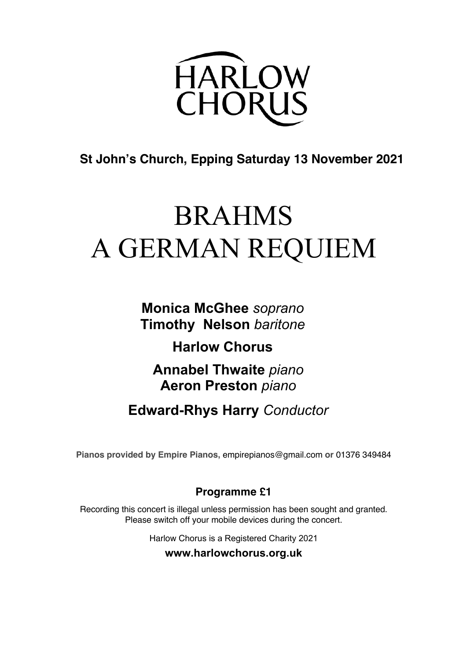

# **St John's Church, Epping Saturday 13 November 2021**

# BRAHMS A GERMAN REQUIEM

**Monica McGhee** *soprano* **Timothy Nelson** *baritone*

**Harlow Chorus**

**Annabel Thwaite** *piano* **Aeron Preston** *piano*

**Edward-Rhys Harry** *Conductor*

**Pianos provided by Empire Pianos,** empirepianos@gmail.com **or** 01376 349484

# **Programme £1**

Recording this concert is illegal unless permission has been sought and granted. Please switch off your mobile devices during the concert.

Harlow Chorus is a Registered Charity 2021

**www.harlowchorus.org.uk**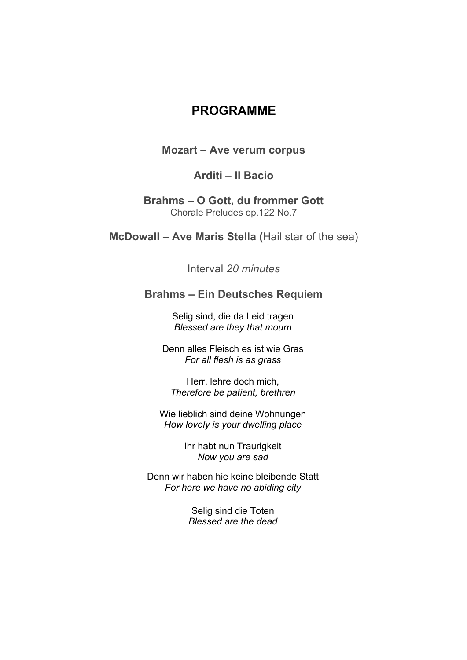# **PROGRAMME**

#### **Mozart – Ave verum corpus**

### **Arditi – Il Bacio**

#### **Brahms – O Gott, du frommer Gott** Chorale Preludes op.122 No.7

**McDowall – Ave Maris Stella (**Hail star of the sea)

Interval *20 minutes*

### **Brahms – Ein Deutsches Requiem**

Selig sind, die da Leid tragen *Blessed are they that mourn*

Denn alles Fleisch es ist wie Gras *For all flesh is as grass*

Herr, lehre doch mich, *Therefore be patient, brethren*

Wie lieblich sind deine Wohnungen *How lovely is your dwelling place*

> Ihr habt nun Traurigkeit *Now you are sad*

Denn wir haben hie keine bleibende Statt *For here we have no abiding city*

> Selig sind die Toten *Blessed are the dead*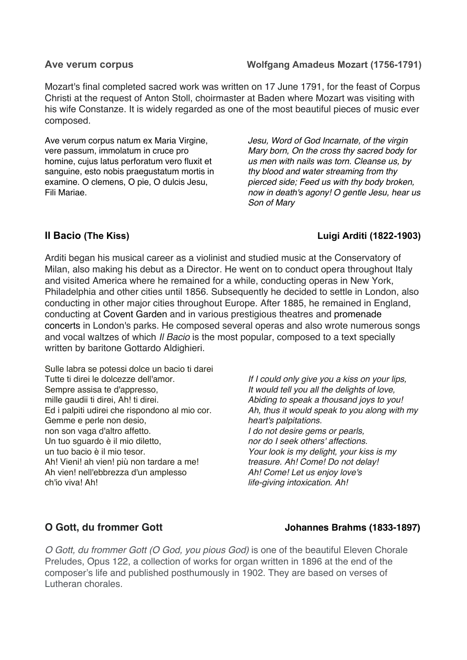#### Ave verum corpus **Molfgang Amadeus Mozart** (1756-1791)

Mozart's final completed sacred work was written on 17 June 1791, for the feast of Corpus Christi at the request of Anton Stoll, choirmaster at Baden where Mozart was visiting with his wife Constanze. It is widely regarded as one of the most beautiful pieces of music ever composed.

Ave verum corpus natum ex Maria Virgine, vere passum, immolatum in cruce pro homine, cujus latus perforatum vero fluxit et sanguine, esto nobis praegustatum mortis in examine. O clemens, O pie, O dulcis Jesu, Fili Mariae.

*Jesu, Word of God Incarnate, of the virgin Mary born, On the cross thy sacred body for us men with nails was torn. Cleanse us, by thy blood and water streaming from thy pierced side; Feed us with thy body broken, now in death's agony! O gentle Jesu, hear us Son of Mary*

### **Il Bacio** (The Kiss) **Luigi Arditi** (1822-1903)

Arditi began his musical career as a violinist and studied music at the Conservatory of Milan, also making his debut as a Director. He went on to conduct opera throughout Italy and visited America where he remained for a while, conducting operas in New York, Philadelphia and other cities until 1856. Subsequently he decided to settle in London, also conducting in other major cities throughout Europe. After 1885, he remained in England, conducting at Covent Garden and in various prestigious theatres and promenade concerts in London's parks. He composed several operas and also wrote numerous songs and vocal waltzes of which *Il Bacio* is the most popular, composed to a text specially written by baritone Gottardo Aldighieri.

Sulle labra se potessi dolce un bacio ti darei Tutte ti direi le dolcezze dell'amor. Sempre assisa te d'appresso, mille gaudii ti direi, Ah! ti direi. Ed i palpiti udirei che rispondono al mio cor. Gemme e perle non desio, non son vaga d'altro affetto. Un tuo sguardo è il mio diletto, un tuo bacio è il mio tesor. Ah! Vieni! ah vien! più non tardare a me! Ah vien! nell'ebbrezza d'un amplesso ch'io viva! Ah!

*If I could only give you a kiss on your lips, It would tell you all the delights of love, Abiding to speak a thousand joys to you! Ah, thus it would speak to you along with my heart's palpitations. I do not desire gems or pearls, nor do I seek others' affections. Your look is my delight, your kiss is my treasure. Ah! Come! Do not delay! Ah! Come! Let us enjoy love's life-giving intoxication. Ah!*

### **O Gott, du frommer Gott** Johannes Brahms (1833-1897)

*O Gott, du frommer Gott (O God, you pious God)* is one of the beautiful Eleven Chorale Preludes, Opus 122, a collection of works for organ written in 1896 at the end of the composer's life and published posthumously in 1902. They are based on verses of Lutheran chorales.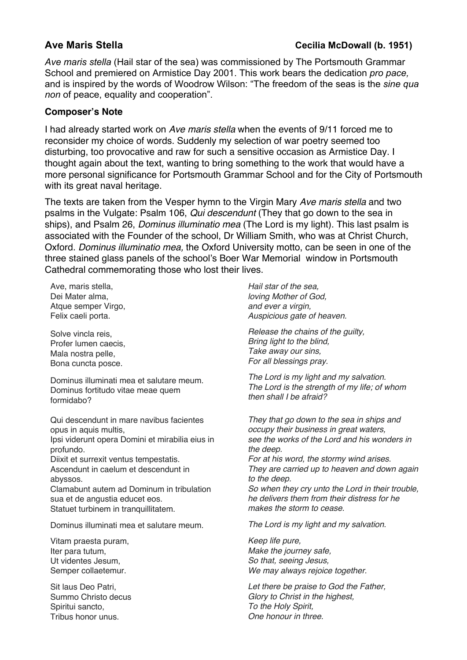*Ave maris stella* (Hail star of the sea) was commissioned by The Portsmouth Grammar School and premiered on Armistice Day 2001. This work bears the dedication *pro pace,* and is inspired by the words of Woodrow Wilson: "The freedom of the seas is the *sine qua non* of peace, equality and cooperation".

#### **Composer's Note**

I had already started work on *Ave maris stella* when the events of 9/11 forced me to reconsider my choice of words. Suddenly my selection of war poetry seemed too disturbing, too provocative and raw for such a sensitive occasion as Armistice Day. I thought again about the text, wanting to bring something to the work that would have a more personal significance for Portsmouth Grammar School and for the City of Portsmouth with its great naval heritage.

The texts are taken from the Vesper hymn to the Virgin Mary *Ave maris stella* and two psalms in the Vulgate: Psalm 106, *Qui descendunt* (They that go down to the sea in ships), and Psalm 26, *Dominus illuminatio mea* (The Lord is my light). This last psalm is associated with the Founder of the school, Dr William Smith, who was at Christ Church, Oxford. *Dominus illuminatio mea,* the Oxford University motto, can be seen in one of the three stained glass panels of the school's Boer War Memorial window in Portsmouth Cathedral commemorating those who lost their lives.

Ave, maris stella, Dei Mater alma, Atque semper Virgo, Felix caeli porta.

Solve vincla reis, Profer lumen caecis, Mala nostra pelle, Bona cuncta posce.

Dominus illuminati mea et salutare meum. Dominus fortitudo vitae meae quem formidabo?

Qui descendunt in mare navibus facientes opus in aquis multis, Ipsi viderunt opera Domini et mirabilia eius in profundo. Diixit et surrexit ventus tempestatis. Ascendunt in caelum et descendunt in abyssos.

Clamabunt autem ad Dominum in tribulation sua et de angustia educet eos. Statuet turbinem in tranquillitatem.

Dominus illuminati mea et salutare meum.

Vitam praesta puram, Iter para tutum, Ut videntes Jesum, Semper collaetemur.

Sit laus Deo Patri, Summo Christo decus Spiritui sancto, Tribus honor unus.

*Hail star of the sea, loving Mother of God, and ever a virgin, Auspicious gate of heaven.*

*Release the chains of the guilty, Bring light to the blind, Take away our sins, For all blessings pray.*

*The Lord is my light and my salvation. The Lord is the strength of my life; of whom then shall I be afraid?*

*They that go down to the sea in ships and occupy their business in great waters, see the works of the Lord and his wonders in the deep.*

*For at his word, the stormy wind arises. They are carried up to heaven and down again to the deep. So when they cry unto the Lord in their trouble,* 

*he delivers them from their distress for he makes the storm to cease.*

*The Lord is my light and my salvation.*

*Keep life pure, Make the journey safe, So that, seeing Jesus, We may always rejoice together.*

*Let there be praise to God the Father, Glory to Christ in the highest, To the Holy Spirit, One honour in three.*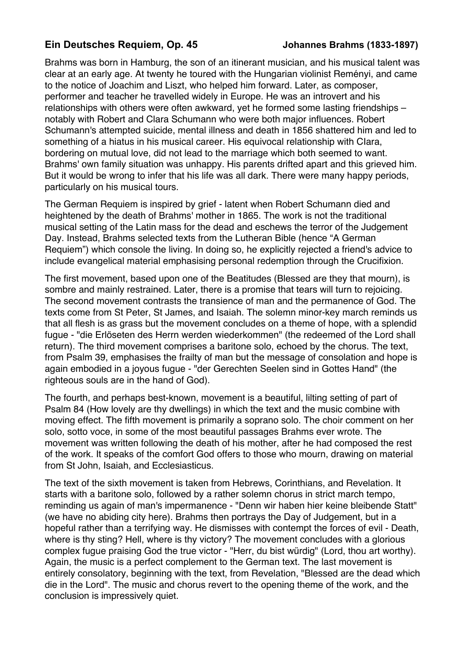### **Ein Deutsches Requiem, Op. 45 Johannes Brahms (1833-1897)**

Brahms was born in Hamburg, the son of an itinerant musician, and his musical talent was clear at an early age. At twenty he toured with the Hungarian violinist Reményi, and came to the notice of Joachim and Liszt, who helped him forward. Later, as composer, performer and teacher he travelled widely in Europe. He was an introvert and his relationships with others were often awkward, yet he formed some lasting friendships – notably with Robert and Clara Schumann who were both major influences. Robert Schumann's attempted suicide, mental illness and death in 1856 shattered him and led to something of a hiatus in his musical career. His equivocal relationship with CIara, bordering on mutual love, did not lead to the marriage which both seemed to want. Brahms' own family situation was unhappy. His parents drifted apart and this grieved him. But it would be wrong to infer that his life was all dark. There were many happy periods, particularly on his musical tours.

The German Requiem is inspired by grief - latent when Robert Schumann died and heightened by the death of Brahms' mother in 1865. The work is not the traditional musical setting of the Latin mass for the dead and eschews the terror of the Judgement Day. Instead, Brahms selected texts from the Lutheran Bible (hence "A German Requiem") which console the living. In doing so, he explicitly rejected a friend's advice to include evangelical material emphasising personal redemption through the Crucifixion.

The first movement, based upon one of the Beatitudes (Blessed are they that mourn), is sombre and mainly restrained. Later, there is a promise that tears will turn to rejoicing. The second movement contrasts the transience of man and the permanence of God. The texts come from St Peter, St James, and Isaiah. The solemn minor-key march reminds us that all flesh is as grass but the movement concludes on a theme of hope, with a splendid fugue - "die Erlöseten des Herrn werden wiederkommen" (the redeemed of the Lord shall return). The third movement comprises a baritone solo, echoed by the chorus. The text, from Psalm 39, emphasises the frailty of man but the message of consolation and hope is again embodied in a joyous fugue - "der Gerechten Seelen sind in Gottes Hand" (the righteous souls are in the hand of God).

The fourth, and perhaps best-known, movement is a beautiful, lilting setting of part of Psalm 84 (How lovely are thy dwellings) in which the text and the music combine with moving effect. The fifth movement is primarily a soprano solo. The choir comment on her solo, sotto voce, in some of the most beautiful passages Brahms ever wrote. The movement was written following the death of his mother, after he had composed the rest of the work. It speaks of the comfort God offers to those who mourn, drawing on material from St John, Isaiah, and Ecclesiasticus.

The text of the sixth movement is taken from Hebrews, Corinthians, and Revelation. It starts with a baritone solo, followed by a rather solemn chorus in strict march tempo, reminding us again of man's impermanence - "Denn wir haben hier keine bleibende Statt" (we have no abiding city here). Brahms then portrays the Day of Judgement, but in a hopeful rather than a terrifying way. He dismisses with contempt the forces of evil - Death, where is thy sting? Hell, where is thy victory? The movement concludes with a glorious complex fugue praising God the true victor - "Herr, du bist würdig" (Lord, thou art worthy). Again, the music is a perfect complement to the German text. The last movement is entirely consolatory, beginning with the text, from Revelation, "Blessed are the dead which die in the Lord". The music and chorus revert to the opening theme of the work, and the conclusion is impressively quiet.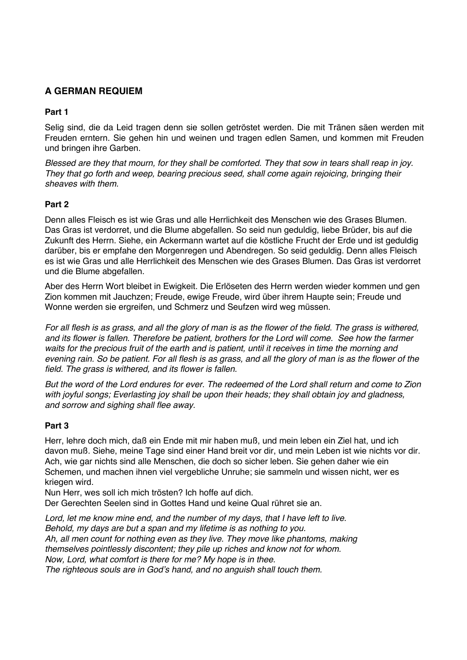#### **A GERMAN REQUIEM**

#### **Part 1**

Selig sind, die da Leid tragen denn sie sollen getröstet werden. Die mit Tränen säen werden mit Freuden erntern. Sie gehen hin und weinen und tragen edlen Samen, und kommen mit Freuden und bringen ihre Garben.

*Blessed are they that mourn, for they shall be comforted. They that sow in tears shall reap in joy. They that go forth and weep, bearing precious seed, shall come again rejoicing, bringing their sheaves with them.*

#### **Part 2**

Denn alles Fleisch es ist wie Gras und alle Herrlichkeit des Menschen wie des Grases Blumen. Das Gras ist verdorret, und die Blume abgefallen. So seid nun geduldig, liebe Brüder, bis auf die Zukunft des Herrn. Siehe, ein Ackermann wartet auf die köstliche Frucht der Erde und ist geduldig darüber, bis er empfahe den Morgenregen und Abendregen. So seid geduldig. Denn alles Fleisch es ist wie Gras und alle Herrlichkeit des Menschen wie des Grases Blumen. Das Gras ist verdorret und die Blume abgefallen.

Aber des Herrn Wort bleibet in Ewigkeit. Die Erlöseten des Herrn werden wieder kommen und gen Zion kommen mit Jauchzen; Freude, ewige Freude, wird über ihrem Haupte sein; Freude und Wonne werden sie ergreifen, und Schmerz und Seufzen wird weg müssen.

*For all flesh is as grass, and all the glory of man is as the flower of the field. The grass is withered, and its flower is fallen. Therefore be patient, brothers for the Lord will come. See how the farmer waits for the precious fruit of the earth and is patient, until it receives in time the morning and evening rain. So be patient. For all flesh is as grass, and all the glory of man is as the flower of the field. The grass is withered, and its flower is fallen.*

*But the word of the Lord endures for ever. The redeemed of the Lord shall return and come to Zion with joyful songs; Everlasting joy shall be upon their heads; they shall obtain joy and gladness, and sorrow and sighing shall flee away.*

#### **Part 3**

Herr, lehre doch mich, daß ein Ende mit mir haben muß, und mein leben ein Ziel hat, und ich davon muß. Siehe, meine Tage sind einer Hand breit vor dir, und mein Leben ist wie nichts vor dir. Ach, wie gar nichts sind alle Menschen, die doch so sicher leben. Sie gehen daher wie ein Schemen, und machen ihnen viel vergebliche Unruhe; sie sammeln und wissen nicht, wer es kriegen wird.

Nun Herr, wes soll ich mich trösten? Ich hoffe auf dich. Der Gerechten Seelen sind in Gottes Hand und keine Qual rühret sie an.

*Lord, let me know mine end, and the number of my days, that I have left to live. Behold, my days are but a span and my lifetime is as nothing to you. Ah, all men count for nothing even as they live. They move like phantoms, making themselves pointlessly discontent; they pile up riches and know not for whom. Now, Lord, what comfort is there for me? My hope is in thee.*

*The righteous souls are in God's hand, and no anguish shall touch them.*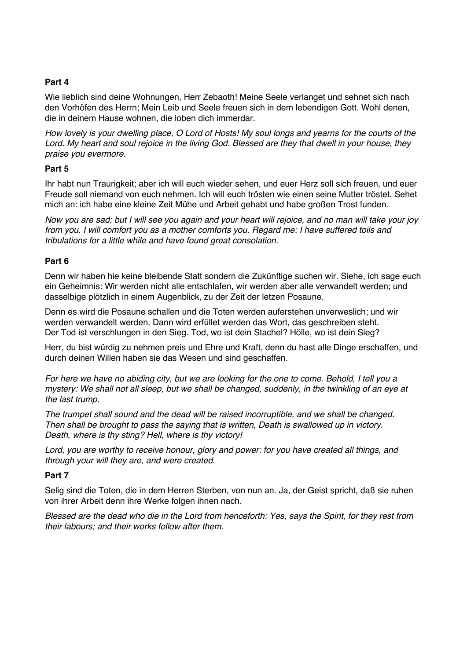#### **Part 4**

Wie lieblich sind deine Wohnungen, Herr Zebaoth! Meine Seele verlanget und sehnet sich nach den Vorhöfen des Herrn; Mein Leib und Seele freuen sich in dem lebendigen Gott. Wohl denen, die in deinem Hause wohnen, die loben dich immerdar.

*How lovely is your dwelling place, O Lord of Hosts! My soul longs and yearns for the courts of the Lord. My heart and soul rejoice in the living God. Blessed are they that dwell in your house, they praise you evermore.*

#### **Part 5**

Ihr habt nun Traurigkeit; aber ich will euch wieder sehen, und euer Herz soll sich freuen, und euer Freude soll niemand von euch nehmen. Ich will euch trösten wie einen seine Mutter tröstet. Sehet mich an: ich habe eine kleine Zeit Mühe und Arbeit gehabt und habe großen Trost funden.

*Now you are sad; but I will see you again and your heart will rejoice, and no man will take your joy from you. I will comfort you as a mother comforts you. Regard me: I have suffered toils and tribulations for a little while and have found great consolation.*

#### **Part 6**

Denn wir haben hie keine bleibende Statt sondern die Zukünftige suchen wir. Siehe, ich sage euch ein Geheimnis: Wir werden nicht alle entschlafen, wir werden aber alle verwandelt werden; und dasselbige plötzlich in einem Augenblick, zu der Zeit der letzen Posaune.

Denn es wird die Posaune schallen und die Toten werden auferstehen unverweslich; und wir werden verwandelt werden. Dann wird erfüllet werden das Wort, das geschreiben steht. Der Tod ist verschlungen in den Sieg. Tod, wo ist dein Stachel? Hölle, wo ist dein Sieg?

Herr, du bist würdig zu nehmen preis und Ehre und Kraft, denn du hast alle Dinge erschaffen, und durch deinen Willen haben sie das Wesen und sind geschaffen.

*For here we have no abiding city, but we are looking for the one to come. Behold, I tell you a mystery: We shall not all sleep, but we shall be changed, suddenly, in the twinkling of an eye at the last trump.*

*The trumpet shall sound and the dead will be raised incorruptible, and we shall be changed. Then shall be brought to pass the saying that is written, Death is swallowed up in victory. Death, where is thy sting? Hell, where is thy victory!*

*Lord, you are worthy to receive honour, glory and power: for you have created all things, and through your will they are, and were created.*

#### **Part 7**

Selig sind die Toten, die in dem Herren Sterben, von nun an. Ja, der Geist spricht, daß sie ruhen von ihrer Arbeit denn ihre Werke folgen ihnen nach.

*Blessed are the dead who die in the Lord from henceforth: Yes, says the Spirit, for they rest from their labours; and their works follow after them.*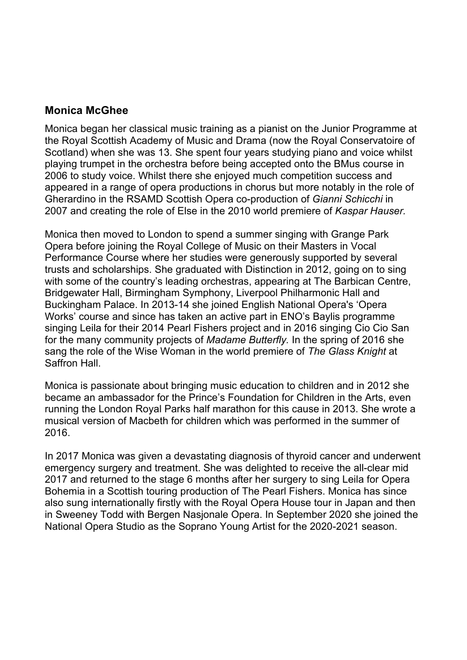# **Monica McGhee**

Monica began her classical music training as a pianist on the Junior Programme at the Royal Scottish Academy of Music and Drama (now the Royal Conservatoire of Scotland) when she was 13. She spent four years studying piano and voice whilst playing trumpet in the orchestra before being accepted onto the BMus course in 2006 to study voice. Whilst there she enjoyed much competition success and appeared in a range of opera productions in chorus but more notably in the role of Gherardino in the RSAMD Scottish Opera co-production of *Gianni Schicchi* in 2007 and creating the role of Else in the 2010 world premiere of *Kaspar Hauser.*

Monica then moved to London to spend a summer singing with Grange Park Opera before joining the Royal College of Music on their Masters in Vocal Performance Course where her studies were generously supported by several trusts and scholarships. She graduated with Distinction in 2012, going on to sing with some of the country's leading orchestras, appearing at The Barbican Centre, Bridgewater Hall, Birmingham Symphony, Liverpool Philharmonic Hall and Buckingham Palace. In 2013-14 she joined English National Opera's 'Opera Works' course and since has taken an active part in ENO's Baylis programme singing Leila for their 2014 Pearl Fishers project and in 2016 singing Cio Cio San for the many community projects of *Madame Butterfly.* In the spring of 2016 she sang the role of the Wise Woman in the world premiere of *The Glass Knight* at Saffron Hall.

Monica is passionate about bringing music education to children and in 2012 she became an ambassador for the Prince's Foundation for Children in the Arts, even running the London Royal Parks half marathon for this cause in 2013. She wrote a musical version of Macbeth for children which was performed in the summer of 2016.

In 2017 Monica was given a devastating diagnosis of thyroid cancer and underwent emergency surgery and treatment. She was delighted to receive the all-clear mid 2017 and returned to the stage 6 months after her surgery to sing Leila for Opera Bohemia in a Scottish touring production of The Pearl Fishers. Monica has since also sung internationally firstly with the Royal Opera House tour in Japan and then in Sweeney Todd with Bergen Nasjonale Opera. In September 2020 she joined the National Opera Studio as the Soprano Young Artist for the 2020-2021 season.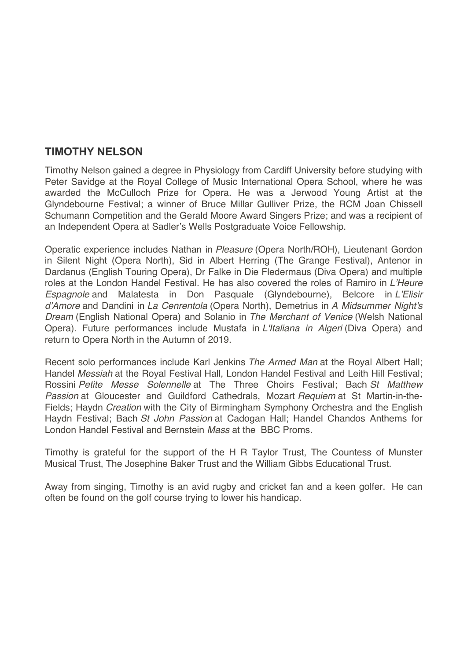## **TIMOTHY NELSON**

Timothy Nelson gained a degree in Physiology from Cardiff University before studying with Peter Savidge at the Royal College of Music International Opera School, where he was awarded the McCulloch Prize for Opera. He was a Jerwood Young Artist at the Glyndebourne Festival; a winner of Bruce Millar Gulliver Prize, the RCM Joan Chissell Schumann Competition and the Gerald Moore Award Singers Prize; and was a recipient of an Independent Opera at Sadler's Wells Postgraduate Voice Fellowship.

Operatic experience includes Nathan in *Pleasure* (Opera North/ROH), Lieutenant Gordon in Silent Night (Opera North), Sid in Albert Herring (The Grange Festival), Antenor in Dardanus (English Touring Opera), Dr Falke in Die Fledermaus (Diva Opera) and multiple roles at the London Handel Festival. He has also covered the roles of Ramiro in *L'Heure Espagnole* and Malatesta in Don Pasquale (Glyndebourne), Belcore in *L'Elisir d'Amore* and Dandini in *La Cenrentola* (Opera North), Demetrius in *A Midsummer Night's Dream* (English National Opera) and Solanio in *The Merchant of Venice* (Welsh National Opera). Future performances include Mustafa in *L'Italiana in Algeri* (Diva Opera) and return to Opera North in the Autumn of 2019.

Recent solo performances include Karl Jenkins *The Armed Man* at the Royal Albert Hall; Handel *Messiah* at the Royal Festival Hall, London Handel Festival and Leith Hill Festival; Rossini *Petite Messe Solennelle* at The Three Choirs Festival; Bach *St Matthew Passion* at Gloucester and Guildford Cathedrals, Mozart *Requiem* at St Martin-in-the-Fields; Haydn *Creation* with the City of Birmingham Symphony Orchestra and the English Haydn Festival; Bach *St John Passion* at Cadogan Hall; Handel Chandos Anthems for London Handel Festival and Bernstein *Mass* at the BBC Proms.

Timothy is grateful for the support of the H R Taylor Trust, The Countess of Munster Musical Trust, The Josephine Baker Trust and the William Gibbs Educational Trust.

Away from singing, Timothy is an avid rugby and cricket fan and a keen golfer. He can often be found on the golf course trying to lower his handicap.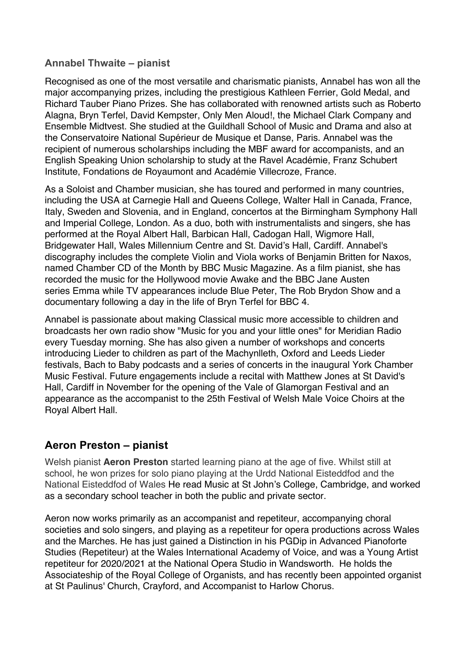### **Annabel Thwaite – pianist**

Recognised as one of the most versatile and charismatic pianists, Annabel has won all the major accompanying prizes, including the prestigious Kathleen Ferrier, Gold Medal, and Richard Tauber Piano Prizes. She has collaborated with renowned artists such as Roberto Alagna, Bryn Terfel, David Kempster, Only Men Aloud!, the Michael Clark Company and Ensemble Midtvest. She studied at the Guildhall School of Music and Drama and also at the Conservatoire National Supérieur de Musique et Danse, Paris. Annabel was the recipient of numerous scholarships including the MBF award for accompanists, and an English Speaking Union scholarship to study at the Ravel Académie, Franz Schubert Institute, Fondations de Royaumont and Académie Villecroze, France.

As a Soloist and Chamber musician, she has toured and performed in many countries, including the USA at Carnegie Hall and Queens College, Walter Hall in Canada, France, Italy, Sweden and Slovenia, and in England, concertos at the Birmingham Symphony Hall and Imperial College, London. As a duo, both with instrumentalists and singers, she has performed at the Royal Albert Hall, Barbican Hall, Cadogan Hall, Wigmore Hall, Bridgewater Hall, Wales Millennium Centre and St. David's Hall, Cardiff. Annabel's discography includes the complete Violin and Viola works of Benjamin Britten for Naxos, named Chamber CD of the Month by BBC Music Magazine. As a film pianist, she has recorded the music for the Hollywood movie Awake and the BBC Jane Austen series Emma while TV appearances include Blue Peter, The Rob Brydon Show and a documentary following a day in the life of Bryn Terfel for BBC 4.

Annabel is passionate about making Classical music more accessible to children and broadcasts her own radio show "Music for you and your little ones" for Meridian Radio every Tuesday morning. She has also given a number of workshops and concerts introducing Lieder to children as part of the Machynlleth, Oxford and Leeds Lieder festivals, Bach to Baby podcasts and a series of concerts in the inaugural York Chamber Music Festival. Future engagements include a recital with Matthew Jones at St David's Hall, Cardiff in November for the opening of the Vale of Glamorgan Festival and an appearance as the accompanist to the 25th Festival of Welsh Male Voice Choirs at the Royal Albert Hall.

# **Aeron Preston – pianist**

Welsh pianist **Aeron Preston** started learning piano at the age of five. Whilst still at school, he won prizes for solo piano playing at the Urdd National Eisteddfod and the National Eisteddfod of Wales He read Music at St John's College, Cambridge, and worked as a secondary school teacher in both the public and private sector.

Aeron now works primarily as an accompanist and repetiteur, accompanying choral societies and solo singers, and playing as a repetiteur for opera productions across Wales and the Marches. He has just gained a Distinction in his PGDip in Advanced Pianoforte Studies (Repetiteur) at the Wales International Academy of Voice, and was a Young Artist repetiteur for 2020/2021 at the National Opera Studio in Wandsworth. He holds the Associateship of the Royal College of Organists, and has recently been appointed organist at St Paulinus' Church, Crayford, and Accompanist to Harlow Chorus.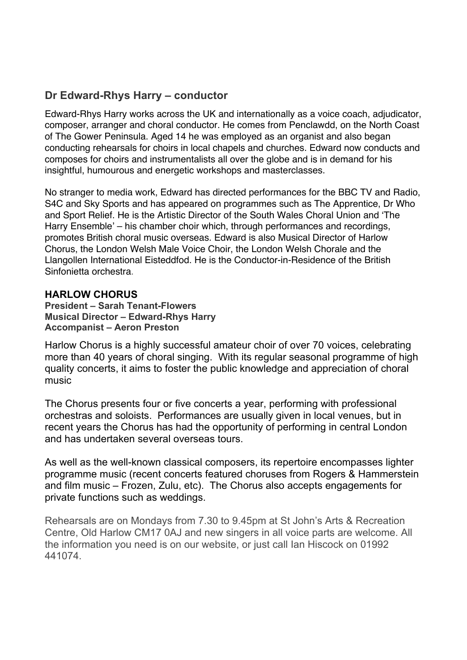# **Dr Edward-Rhys Harry – conductor**

Edward-Rhys Harry works across the UK and internationally as a voice coach, adjudicator, composer, arranger and choral conductor. He comes from Penclawdd, on the North Coast of The Gower Peninsula. Aged 14 he was employed as an organist and also began conducting rehearsals for choirs in local chapels and churches. Edward now conducts and composes for choirs and instrumentalists all over the globe and is in demand for his insightful, humourous and energetic workshops and masterclasses.

No stranger to media work, Edward has directed performances for the BBC TV and Radio, S4C and Sky Sports and has appeared on programmes such as The Apprentice, Dr Who and Sport Relief. He is the Artistic Director of the South Wales Choral Union and 'The Harry Ensemble' – his chamber choir which, through performances and recordings, promotes British choral music overseas. Edward is also Musical Director of Harlow Chorus, the London Welsh Male Voice Choir, the London Welsh Chorale and the Llangollen International Eisteddfod. He is the Conductor-in-Residence of the British Sinfonietta orchestra.

### **HARLOW CHORUS**

**President – Sarah Tenant-Flowers Musical Director – Edward-Rhys Harry Accompanist – Aeron Preston**

Harlow Chorus is a highly successful amateur choir of over 70 voices, celebrating more than 40 years of choral singing. With its regular seasonal programme of high quality concerts, it aims to foster the public knowledge and appreciation of choral music

The Chorus presents four or five concerts a year, performing with professional orchestras and soloists. Performances are usually given in local venues, but in recent years the Chorus has had the opportunity of performing in central London and has undertaken several overseas tours.

As well as the well-known classical composers, its repertoire encompasses lighter programme music (recent concerts featured choruses from Rogers & Hammerstein and film music – Frozen, Zulu, etc). The Chorus also accepts engagements for private functions such as weddings.

Rehearsals are on Mondays from 7.30 to 9.45pm at St John's Arts & Recreation Centre, Old Harlow CM17 0AJ and new singers in all voice parts are welcome. All the information you need is on our website, or just call Ian Hiscock on 01992 441074.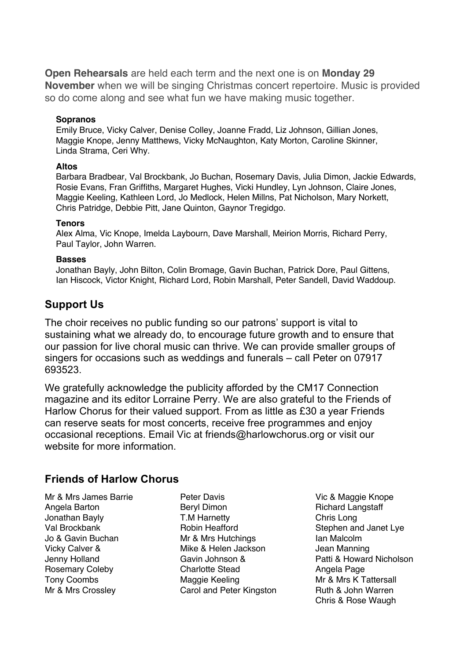**Open Rehearsals** are held each term and the next one is on **Monday 29 November** when we will be singing Christmas concert repertoire. Music is provided so do come along and see what fun we have making music together.

#### **Sopranos**

Emily Bruce, Vicky Calver, Denise Colley, Joanne Fradd, Liz Johnson, Gillian Jones, Maggie Knope, Jenny Matthews, Vicky McNaughton, Katy Morton, Caroline Skinner, Linda Strama, Ceri Why.

#### **Altos**

Barbara Bradbear, Val Brockbank, Jo Buchan, Rosemary Davis, Julia Dimon, Jackie Edwards, Rosie Evans, Fran Griffiths, Margaret Hughes, Vicki Hundley, Lyn Johnson, Claire Jones, Maggie Keeling, Kathleen Lord, Jo Medlock, Helen Millns, Pat Nicholson, Mary Norkett, Chris Patridge, Debbie Pitt, Jane Quinton, Gaynor Tregidgo.

#### **Tenors**

Alex Alma, Vic Knope, Imelda Laybourn, Dave Marshall, Meirion Morris, Richard Perry, Paul Taylor, John Warren.

#### **Basses**

Jonathan Bayly, John Bilton, Colin Bromage, Gavin Buchan, Patrick Dore, Paul Gittens, Ian Hiscock, Victor Knight, Richard Lord, Robin Marshall, Peter Sandell, David Waddoup.

### **Support Us**

The choir receives no public funding so our patrons' support is vital to sustaining what we already do, to encourage future growth and to ensure that our passion for live choral music can thrive. We can provide smaller groups of singers for occasions such as weddings and funerals – call Peter on 07917 693523.

We gratefully acknowledge the publicity afforded by the CM17 Connection magazine and its editor Lorraine Perry. We are also grateful to the Friends of Harlow Chorus for their valued support. From as little as £30 a year Friends can reserve seats for most concerts, receive free programmes and enjoy occasional receptions. Email Vic at friends@harlowchorus.org or visit our website for more information.

### **Friends of Harlow Chorus**

Mr & Mrs James Barrie Angela Barton Jonathan Bayly Val Brockbank Jo & Gavin Buchan Vicky Calver & Jenny Holland Rosemary Coleby Tony Coombs Mr & Mrs Crossley

Peter Davis Beryl Dimon T.M Harnetty Robin Heafford Mr & Mrs Hutchings Mike & Helen Jackson Gavin Johnson & Charlotte Stead Maggie Keeling Carol and Peter Kingston

Vic & Maggie Knope Richard Langstaff Chris Long Stephen and Janet Lye Ian Malcolm Jean Manning Patti & Howard Nicholson Angela Page Mr & Mrs K Tattersall Ruth & John Warren Chris & Rose Waugh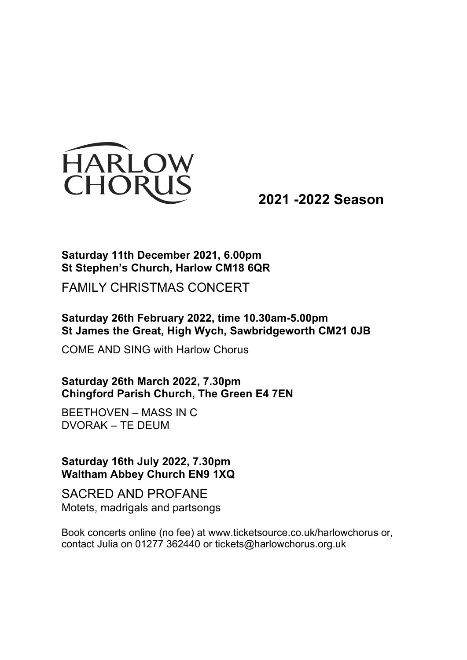

**2021 -2022 Season**

# **Saturday 11th December 2021, 6.00pm St Stephen's Church, Harlow CM18 6QR**

FAMILY CHRISTMAS CONCERT

# **Saturday 26th February 2022, time 10.30am-5.00pm St James the Great, High Wych, Sawbridgeworth CM21 0JB**

COME AND SING with Harlow Chorus

**Saturday 26th March 2022, 7.30pm Chingford Parish Church, The Green E4 7EN**

BEETHOVEN – MASS IN C DVORAK – TE DEUM

**Saturday 16th July 2022, 7.30pm Waltham Abbey Church EN9 1XQ**

SACRED AND PROFANE Motets, madrigals and partsongs

Book concerts online (no fee) at www.ticketsource.co.uk/harlowchorus or, contact Julia on 01277 362440 or tickets@harlowchorus.org.uk